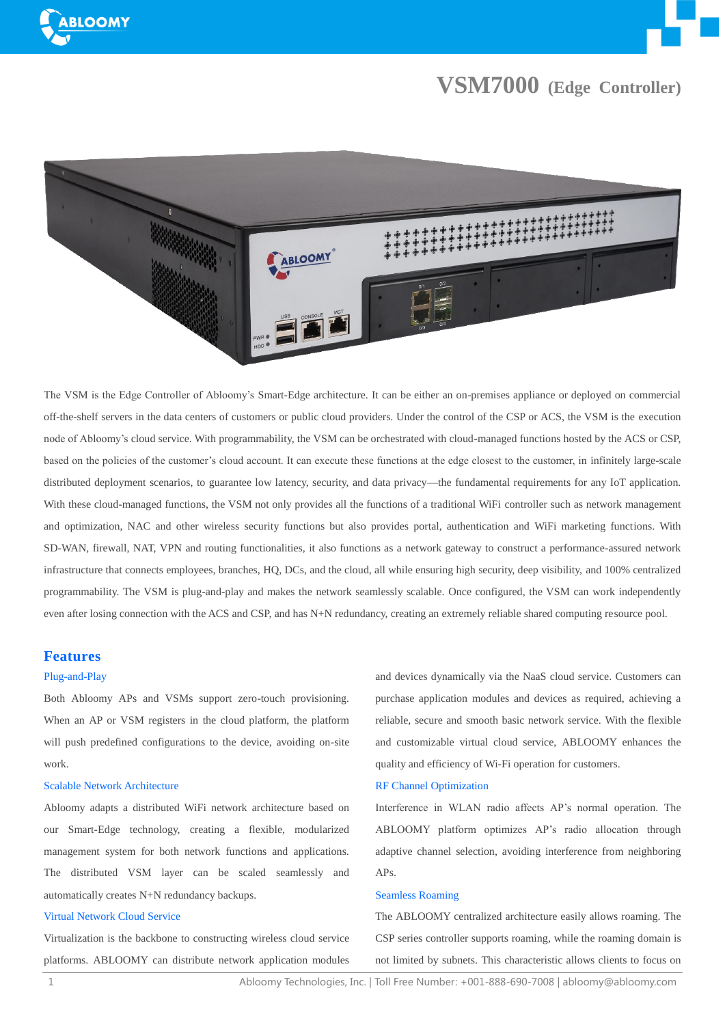



# **VSM7000 (Edge Controller)**



The VSM is the Edge Controller of Abloomy's Smart-Edge architecture. It can be either an on-premises appliance or deployed on commercial off-the-shelf servers in the data centers of customers or public cloud providers. Under the control of the CSP or ACS, the VSM is the execution node of Abloomy's cloud service. With programmability, the VSM can be orchestrated with cloud-managed functions hosted by the ACS or CSP, based on the policies of the customer's cloud account. It can execute these functions at the edge closest to the customer, in infinitely large-scale distributed deployment scenarios, to guarantee low latency, security, and data privacy—the fundamental requirements for any IoT application. With these cloud-managed functions, the VSM not only provides all the functions of a traditional WiFi controller such as network management and optimization, NAC and other wireless security functions but also provides portal, authentication and WiFi marketing functions. With SD-WAN, firewall, NAT, VPN and routing functionalities, it also functions as a network gateway to construct a performance-assured network infrastructure that connects employees, branches, HQ, DCs, and the cloud, all while ensuring high security, deep visibility, and 100% centralized programmability. The VSM is plug-and-play and makes the network seamlessly scalable. Once configured, the VSM can work independently even after losing connection with the ACS and CSP, and has N+N redundancy, creating an extremely reliable shared computing resource pool.

# **Features**

#### Plug-and-Play

Both Abloomy APs and VSMs support zero-touch provisioning. When an AP or VSM registers in the cloud platform, the platform will push predefined configurations to the device, avoiding on-site work.

# Scalable Network Architecture

Abloomy adapts a distributed WiFi network architecture based on our Smart-Edge technology, creating a flexible, modularized management system for both network functions and applications. The distributed VSM layer can be scaled seamlessly and automatically creates N+N redundancy backups.

# Virtual Network Cloud Service

Virtualization is the backbone to constructing wireless cloud service platforms. ABLOOMY can distribute network application modules

and devices dynamically via the NaaS cloud service. Customers can purchase application modules and devices as required, achieving a reliable, secure and smooth basic network service. With the flexible and customizable virtual cloud service, ABLOOMY enhances the quality and efficiency of Wi-Fi operation for customers.

# RF Channel Optimization

Interference in WLAN radio affects AP's normal operation. The ABLOOMY platform optimizes AP's radio allocation through adaptive channel selection, avoiding interference from neighboring APs.

# Seamless Roaming

The ABLOOMY centralized architecture easily allows roaming. The CSP series controller supports roaming, while the roaming domain is not limited by subnets. This characteristic allows clients to focus on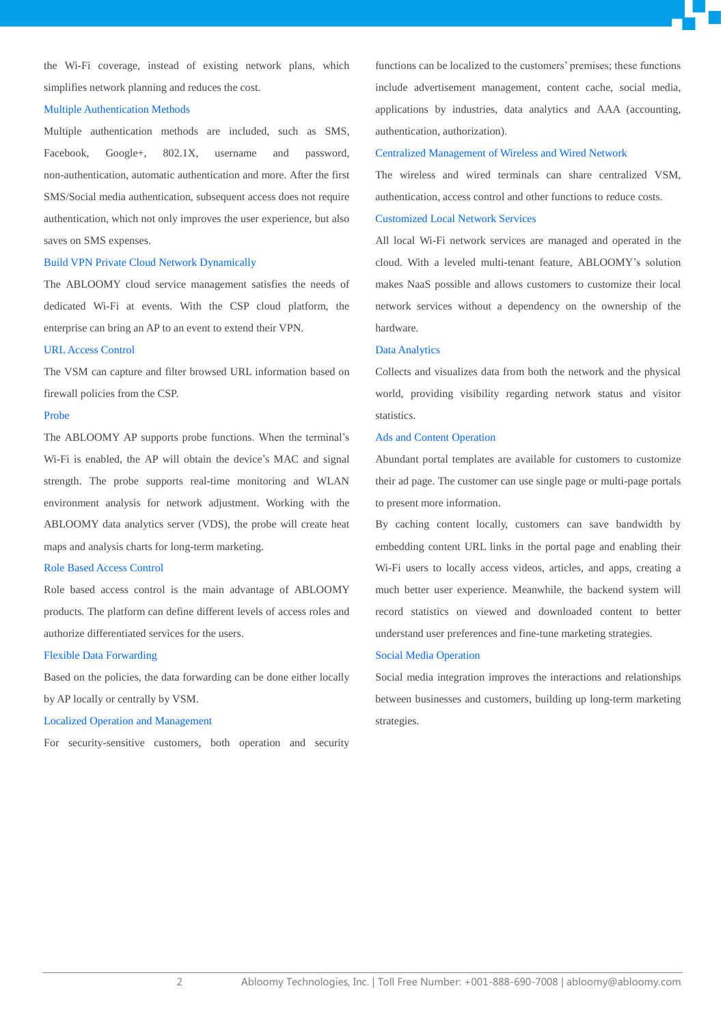the Wi-Fi coverage, instead of existing network plans, which simplifies network planning and reduces the cost.

#### Multiple Authentication Methods

Multiple authentication methods are included, such as SMS, Facebook, Google+, 802.1X, username and password, non-authentication, automatic authentication and more. After the first SMS/Social media authentication, subsequent access does not require authentication, which not only improves the user experience, but also saves on SMS expenses.

## Build VPN Private Cloud Network Dynamically

The ABLOOMY cloud service management satisfies the needs of dedicated Wi-Fi at events. With the CSP cloud platform, the enterprise can bring an AP to an event to extend their VPN.

#### URL Access Control

The VSM can capture and filter browsed URL information based on firewall policies from the CSP.

#### Probe

The ABLOOMY AP supports probe functions. When the terminal's Wi-Fi is enabled, the AP will obtain the device's MAC and signal strength. The probe supports real-time monitoring and WLAN environment analysis for network adjustment. Working with the ABLOOMY data analytics server (VDS), the probe will create heat maps and analysis charts for long-term marketing.

### Role Based Access Control

Role based access control is the main advantage of ABLOOMY products. The platform can define different levels of access roles and authorize differentiated services for the users.

#### Flexible Data Forwarding

Based on the policies, the data forwarding can be done either locally by AP locally or centrally by VSM.

#### Localized Operation and Management

For security-sensitive customers, both operation and security

functions can be localized to the customers' premises; these functions include advertisement management, content cache, social media, applications by industries, data analytics and AAA (accounting, authentication, authorization).

## Centralized Management of Wireless and Wired Network

The wireless and wired terminals can share centralized VSM, authentication, access control and other functions to reduce costs.

# Customized Local Network Services

All local Wi-Fi network services are managed and operated in the cloud. With a leveled multi-tenant feature, ABLOOMY's solution makes NaaS possible and allows customers to customize their local network services without a dependency on the ownership of the hardware.

#### Data Analytics

Collects and visualizes data from both the network and the physical world, providing visibility regarding network status and visitor statistics.

## Ads and Content Operation

Abundant portal templates are available for customers to customize their ad page. The customer can use single page or multi-page portals to present more information.

By caching content locally, customers can save bandwidth by embedding content URL links in the portal page and enabling their Wi-Fi users to locally access videos, articles, and apps, creating a much better user experience. Meanwhile, the backend system will record statistics on viewed and downloaded content to better understand user preferences and fine-tune marketing strategies.

#### Social Media Operation

Social media integration improves the interactions and relationships between businesses and customers, building up long-term marketing strategies.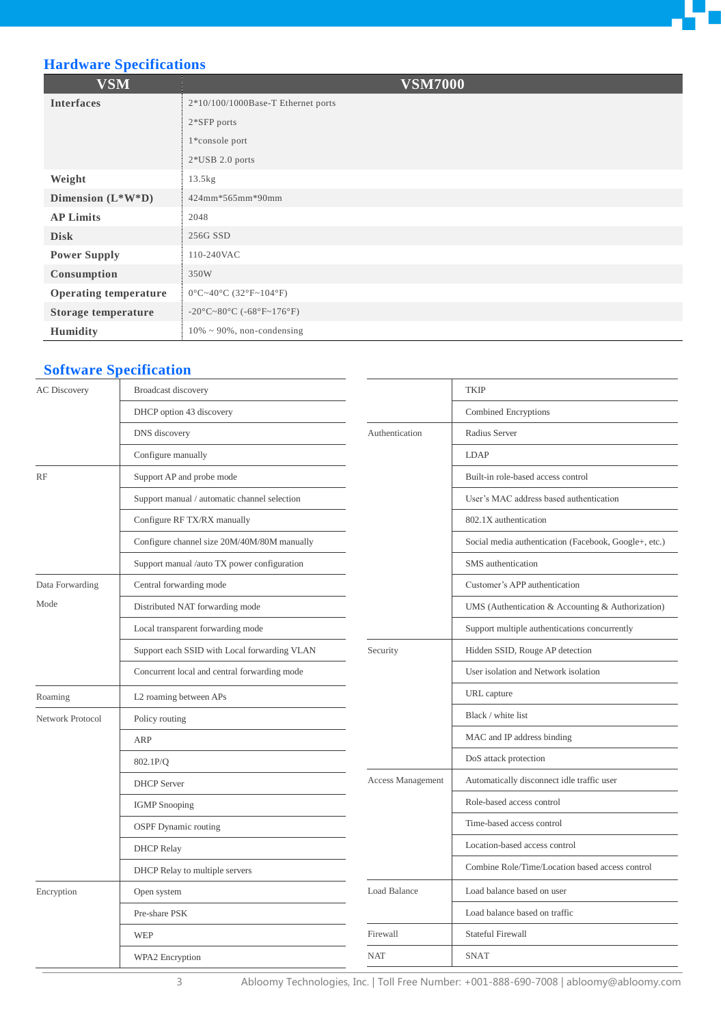

# **Hardware Specifications**

| <b>VSM</b>                   | <b>VSM7000</b>                                 |
|------------------------------|------------------------------------------------|
| <b>Interfaces</b>            | $2*10/100/1000Base$ -T Ethernet ports          |
|                              | 2*SFP ports                                    |
|                              | 1*console port                                 |
|                              | $2*USB 2.0$ ports                              |
| Weight                       | 13.5kg                                         |
| Dimension $(L^*W^*D)$        | 424mm*565mm*90mm                               |
| <b>AP Limits</b>             | 2048                                           |
| <b>Disk</b>                  | 256G SSD                                       |
| <b>Power Supply</b>          | 110-240VAC                                     |
| Consumption                  | 350W                                           |
| <b>Operating temperature</b> | $0 \text{ C} \sim 40 \text{ C}$ (32 F ~ 104 F) |
| Storage temperature          | -20 °C ~ 80 °C (-68 °F ~ 176 °F)               |
| Humidity                     | $10\% \sim 90\%$ , non-condensing              |

# **Software Specification**

| Broadcast discovery                          |                          | <b>TKIP</b>                                           |
|----------------------------------------------|--------------------------|-------------------------------------------------------|
| DHCP option 43 discovery                     |                          | Combined Encryptions                                  |
| DNS discovery                                | Authentication           | Radius Server                                         |
| Configure manually                           |                          | LDAP                                                  |
| Support AP and probe mode                    |                          | Built-in role-based access control                    |
| Support manual / automatic channel selection |                          | User's MAC address based authentication               |
| Configure RF TX/RX manually                  |                          | 802.1X authentication                                 |
| Configure channel size 20M/40M/80M manually  |                          | Social media authentication (Facebook, Google+, etc.) |
| Support manual /auto TX power configuration  |                          | SMS authentication                                    |
| Central forwarding mode                      |                          | Customer's APP authentication                         |
| Distributed NAT forwarding mode              |                          | UMS (Authentication & Accounting & Authorization)     |
| Local transparent forwarding mode            |                          | Support multiple authentications concurrently         |
| Support each SSID with Local forwarding VLAN | Security                 | Hidden SSID, Rouge AP detection                       |
| Concurrent local and central forwarding mode |                          | User isolation and Network isolation                  |
| L2 roaming between APs                       |                          | URL capture                                           |
| Policy routing<br><b>ARP</b>                 |                          | Black / white list                                    |
|                                              |                          | MAC and IP address binding                            |
| 802.1P/O                                     |                          | DoS attack protection                                 |
| <b>DHCP</b> Server                           | <b>Access Management</b> | Automatically disconnect idle traffic user            |
| <b>IGMP</b> Snooping                         |                          | Role-based access control                             |
| <b>OSPF</b> Dynamic routing                  |                          | Time-based access control                             |
| <b>DHCP</b> Relay                            |                          | Location-based access control                         |
| DHCP Relay to multiple servers               |                          | Combine Role/Time/Location based access control       |
| Open system                                  | Load Balance             | Load balance based on user                            |
| Pre-share PSK                                |                          | Load balance based on traffic                         |
| <b>WEP</b>                                   | Firewall                 | Stateful Firewall                                     |
| WPA2 Encryption                              | <b>NAT</b>               | <b>SNAT</b>                                           |
|                                              |                          |                                                       |

3 Abloomy Technologies, Inc. | Toll Free Number: +001-888-690-7008 | abloomy@abloomy.com